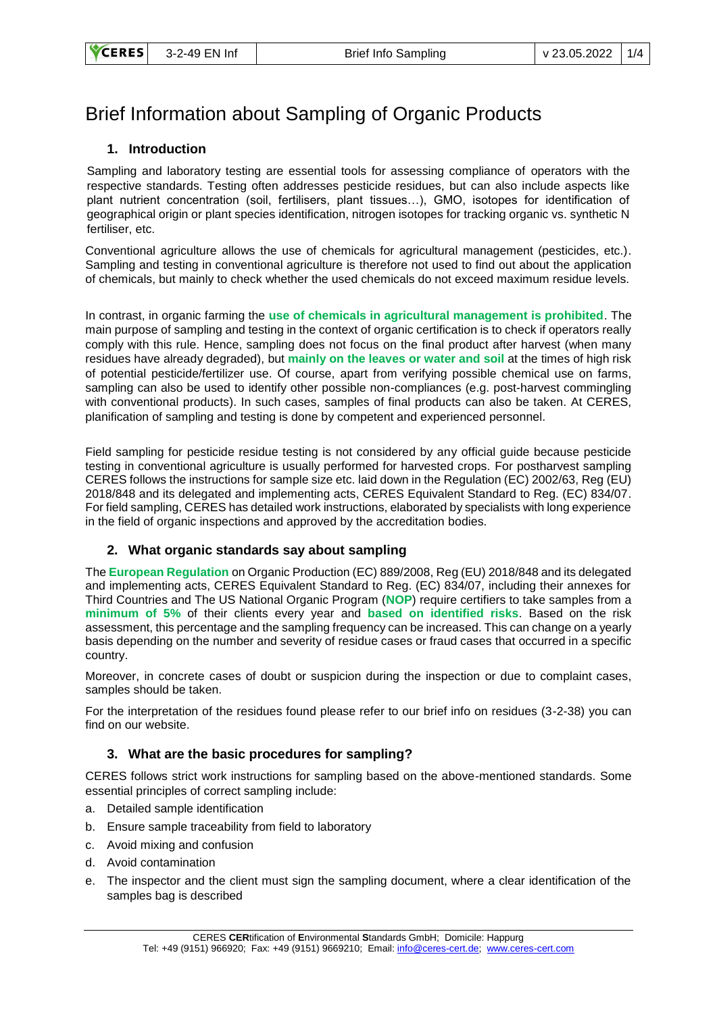# Brief Information about Sampling of Organic Products

## **1. Introduction**

Sampling and laboratory testing are essential tools for assessing compliance of operators with the respective standards. Testing often addresses pesticide residues, but can also include aspects like plant nutrient concentration (soil, fertilisers, plant tissues…), GMO, isotopes for identification of geographical origin or plant species identification, nitrogen isotopes for tracking organic vs. synthetic N fertiliser, etc.

Conventional agriculture allows the use of chemicals for agricultural management (pesticides, etc.). Sampling and testing in conventional agriculture is therefore not used to find out about the application of chemicals, but mainly to check whether the used chemicals do not exceed maximum residue levels.

In contrast, in organic farming the **use of chemicals in agricultural management is prohibited**. The main purpose of sampling and testing in the context of organic certification is to check if operators really comply with this rule. Hence, sampling does not focus on the final product after harvest (when many residues have already degraded), but **mainly on the leaves or water and soil** at the times of high risk of potential pesticide/fertilizer use. Of course, apart from verifying possible chemical use on farms, sampling can also be used to identify other possible non-compliances (e.g. post-harvest commingling with conventional products). In such cases, samples of final products can also be taken. At CERES, planification of sampling and testing is done by competent and experienced personnel.

Field sampling for pesticide residue testing is not considered by any official guide because pesticide testing in conventional agriculture is usually performed for harvested crops. For postharvest sampling CERES follows the instructions for sample size etc. laid down in the Regulation (EC) 2002/63, Reg (EU) 2018/848 and its delegated and implementing acts, CERES Equivalent Standard to Reg. (EC) 834/07. For field sampling, CERES has detailed work instructions, elaborated by specialists with long experience in the field of organic inspections and approved by the accreditation bodies.

## **2. What organic standards say about sampling**

The **European Regulation** on Organic Production (EC) 889/2008, Reg (EU) 2018/848 and its delegated and implementing acts, CERES Equivalent Standard to Reg. (EC) 834/07, including their annexes for Third Countries and The US National Organic Program (**NOP**) require certifiers to take samples from a **minimum of 5%** of their clients every year and **based on identified risks**. Based on the risk assessment, this percentage and the sampling frequency can be increased. This can change on a yearly basis depending on the number and severity of residue cases or fraud cases that occurred in a specific country.

Moreover, in concrete cases of doubt or suspicion during the inspection or due to complaint cases, samples should be taken.

For the interpretation of the residues found please refer to our brief info on residues (3-2-38) you can find on our website.

## **3. What are the basic procedures for sampling?**

CERES follows strict work instructions for sampling based on the above-mentioned standards. Some essential principles of correct sampling include:

- a. Detailed sample identification
- b. Ensure sample traceability from field to laboratory
- c. Avoid mixing and confusion
- d. Avoid contamination
- e. The inspector and the client must sign the sampling document, where a clear identification of the samples bag is described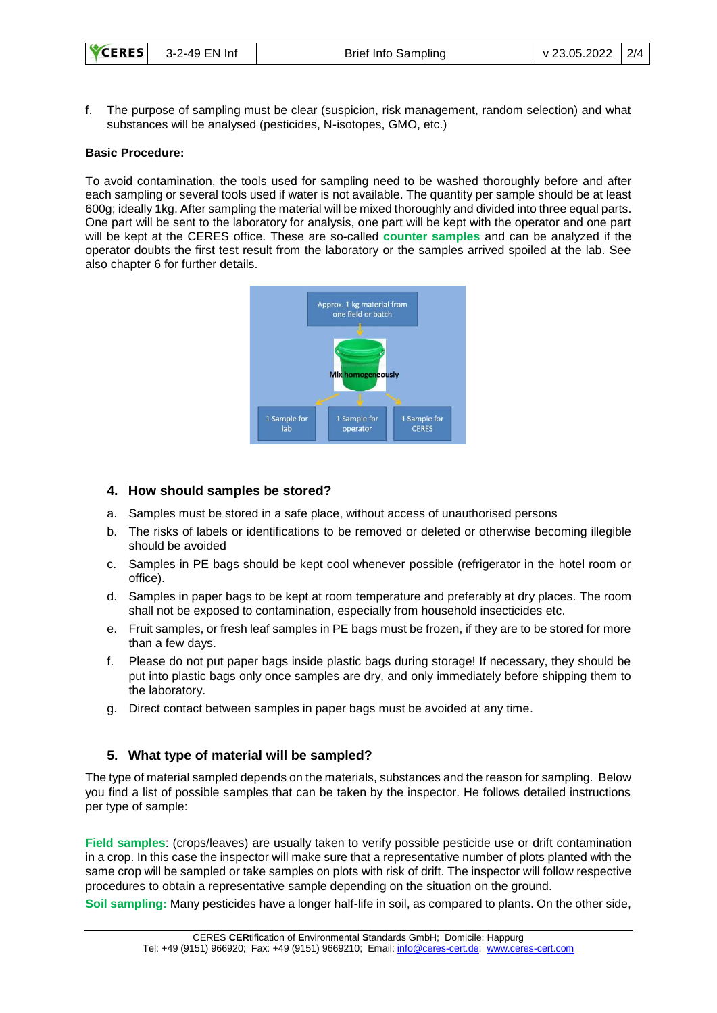f. The purpose of sampling must be clear (suspicion, risk management, random selection) and what substances will be analysed (pesticides, N-isotopes, GMO, etc.)

#### **Basic Procedure:**

To avoid contamination, the tools used for sampling need to be washed thoroughly before and after each sampling or several tools used if water is not available. The quantity per sample should be at least 600g; ideally 1kg. After sampling the material will be mixed thoroughly and divided into three equal parts. One part will be sent to the laboratory for analysis, one part will be kept with the operator and one part will be kept at the CERES office. These are so-called **counter samples** and can be analyzed if the operator doubts the first test result from the laboratory or the samples arrived spoiled at the lab. See also chapter 6 for further details.



#### **4. How should samples be stored?**

- a. Samples must be stored in a safe place, without access of unauthorised persons
- b. The risks of labels or identifications to be removed or deleted or otherwise becoming illegible should be avoided
- c. Samples in PE bags should be kept cool whenever possible (refrigerator in the hotel room or office).
- d. Samples in paper bags to be kept at room temperature and preferably at dry places. The room shall not be exposed to contamination, especially from household insecticides etc.
- e. Fruit samples, or fresh leaf samples in PE bags must be frozen, if they are to be stored for more than a few days.
- f. Please do not put paper bags inside plastic bags during storage! If necessary, they should be put into plastic bags only once samples are dry, and only immediately before shipping them to the laboratory.
- g. Direct contact between samples in paper bags must be avoided at any time.

#### **5. What type of material will be sampled?**

The type of material sampled depends on the materials, substances and the reason for sampling. Below you find a list of possible samples that can be taken by the inspector. He follows detailed instructions per type of sample:

**Field samples**: (crops/leaves) are usually taken to verify possible pesticide use or drift contamination in a crop. In this case the inspector will make sure that a representative number of plots planted with the same crop will be sampled or take samples on plots with risk of drift. The inspector will follow respective procedures to obtain a representative sample depending on the situation on the ground.

**Soil sampling:** Many pesticides have a longer half-life in soil, as compared to plants. On the other side,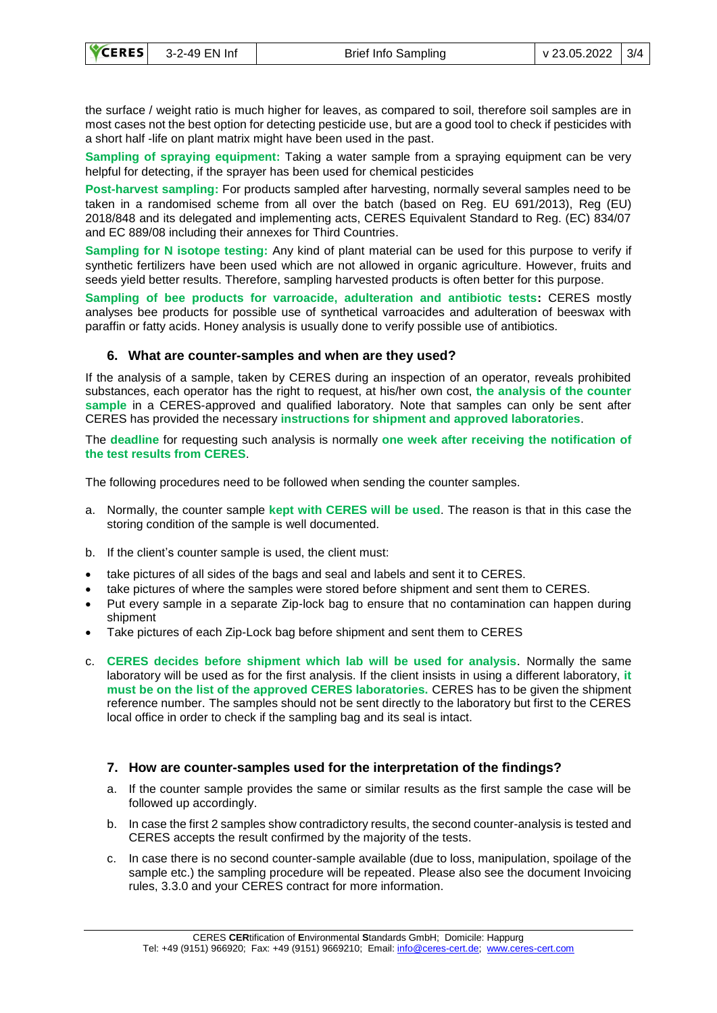the surface / weight ratio is much higher for leaves, as compared to soil, therefore soil samples are in most cases not the best option for detecting pesticide use, but are a good tool to check if pesticides with a short half -life on plant matrix might have been used in the past.

**Sampling of spraying equipment:** Taking a water sample from a spraying equipment can be very helpful for detecting, if the sprayer has been used for chemical pesticides

**Post-harvest sampling:** For products sampled after harvesting, normally several samples need to be taken in a randomised scheme from all over the batch (based on Reg. EU 691/2013), Reg (EU) 2018/848 and its delegated and implementing acts, CERES Equivalent Standard to Reg. (EC) 834/07 and EC 889/08 including their annexes for Third Countries.

**Sampling for N isotope testing:** Any kind of plant material can be used for this purpose to verify if synthetic fertilizers have been used which are not allowed in organic agriculture. However, fruits and seeds yield better results. Therefore, sampling harvested products is often better for this purpose.

**Sampling of bee products for varroacide, adulteration and antibiotic tests:** CERES mostly analyses bee products for possible use of synthetical varroacides and adulteration of beeswax with paraffin or fatty acids. Honey analysis is usually done to verify possible use of antibiotics.

#### **6. What are counter-samples and when are they used?**

If the analysis of a sample, taken by CERES during an inspection of an operator, reveals prohibited substances, each operator has the right to request, at his/her own cost, **the analysis of the counter sample** in a CERES-approved and qualified laboratory. Note that samples can only be sent after CERES has provided the necessary **instructions for shipment and approved laboratories**.

The **deadline** for requesting such analysis is normally **one week after receiving the notification of the test results from CERES**.

The following procedures need to be followed when sending the counter samples.

- a. Normally, the counter sample **kept with CERES will be used**. The reason is that in this case the storing condition of the sample is well documented.
- b. If the client's counter sample is used, the client must:
- take pictures of all sides of the bags and seal and labels and sent it to CERES.
- take pictures of where the samples were stored before shipment and sent them to CERES.
- Put every sample in a separate Zip-lock bag to ensure that no contamination can happen during shipment
- Take pictures of each Zip-Lock bag before shipment and sent them to CERES
- c. **CERES decides before shipment which lab will be used for analysis**. Normally the same laboratory will be used as for the first analysis. If the client insists in using a different laboratory, **it must be on the list of the approved CERES laboratories.** CERES has to be given the shipment reference number. The samples should not be sent directly to the laboratory but first to the CERES local office in order to check if the sampling bag and its seal is intact.

#### **7. How are counter-samples used for the interpretation of the findings?**

- a. If the counter sample provides the same or similar results as the first sample the case will be followed up accordingly.
- b. In case the first 2 samples show contradictory results, the second counter-analysis is tested and CERES accepts the result confirmed by the majority of the tests.
- c. In case there is no second counter-sample available (due to loss, manipulation, spoilage of the sample etc.) the sampling procedure will be repeated. Please also see the document Invoicing rules, 3.3.0 and your CERES contract for more information.